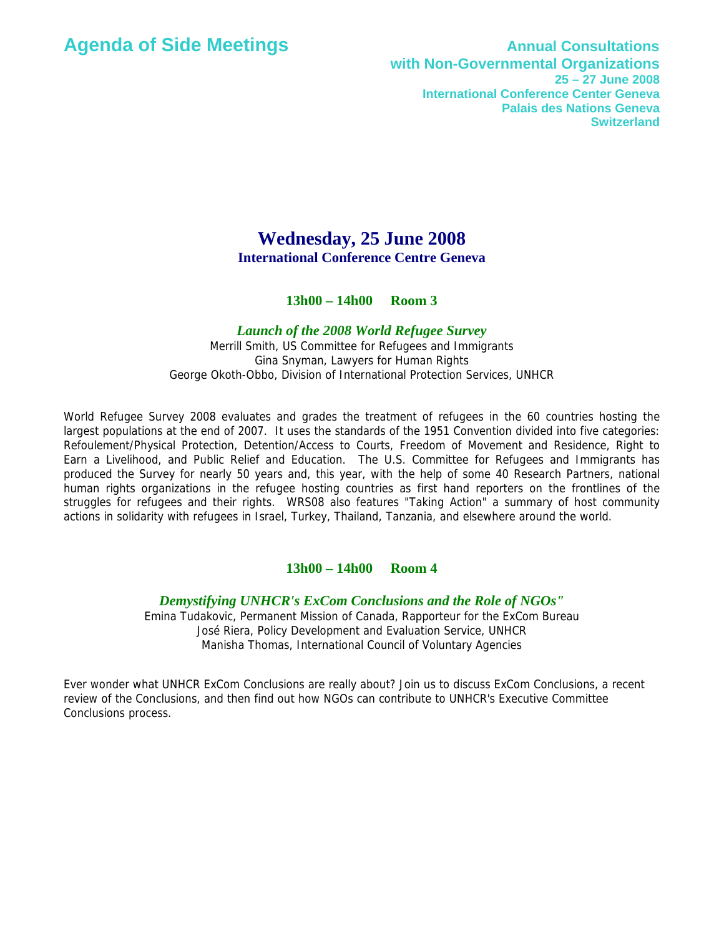## **Agenda of Side Meetings Annual Consultations with Non-Governmental Organizations 25 – 27 June 2008 International Conference Center Geneva Palais des Nations Geneva Switzerland**

# **Wednesday, 25 June 2008 International Conference Centre Geneva**

## **13h00 – 14h00 Room 3**

#### *Launch of the 2008 World Refugee Survey*

Merrill Smith, US Committee for Refugees and Immigrants Gina Snyman, Lawyers for Human Rights George Okoth-Obbo, Division of International Protection Services, UNHCR

World Refugee Survey 2008 evaluates and grades the treatment of refugees in the 60 countries hosting the largest populations at the end of 2007. It uses the standards of the 1951 Convention divided into five categories: Refoulement/Physical Protection, Detention/Access to Courts, Freedom of Movement and Residence, Right to Earn a Livelihood, and Public Relief and Education. The U.S. Committee for Refugees and Immigrants has produced the Survey for nearly 50 years and, this year, with the help of some 40 Research Partners, national human rights organizations in the refugee hosting countries as first hand reporters on the frontlines of the struggles for refugees and their rights. WRS08 also features "Taking Action" a summary of host community actions in solidarity with refugees in Israel, Turkey, Thailand, Tanzania, and elsewhere around the world.

#### **13h00 – 14h00 Room 4**

*Demystifying UNHCR's ExCom Conclusions and the Role of NGOs"* 

Emina Tudakovic, Permanent Mission of Canada, Rapporteur for the ExCom Bureau José Riera, Policy Development and Evaluation Service, UNHCR Manisha Thomas, International Council of Voluntary Agencies

Ever wonder what UNHCR ExCom Conclusions are really about? Join us to discuss ExCom Conclusions, a recent review of the Conclusions, and then find out how NGOs can contribute to UNHCR's Executive Committee Conclusions process.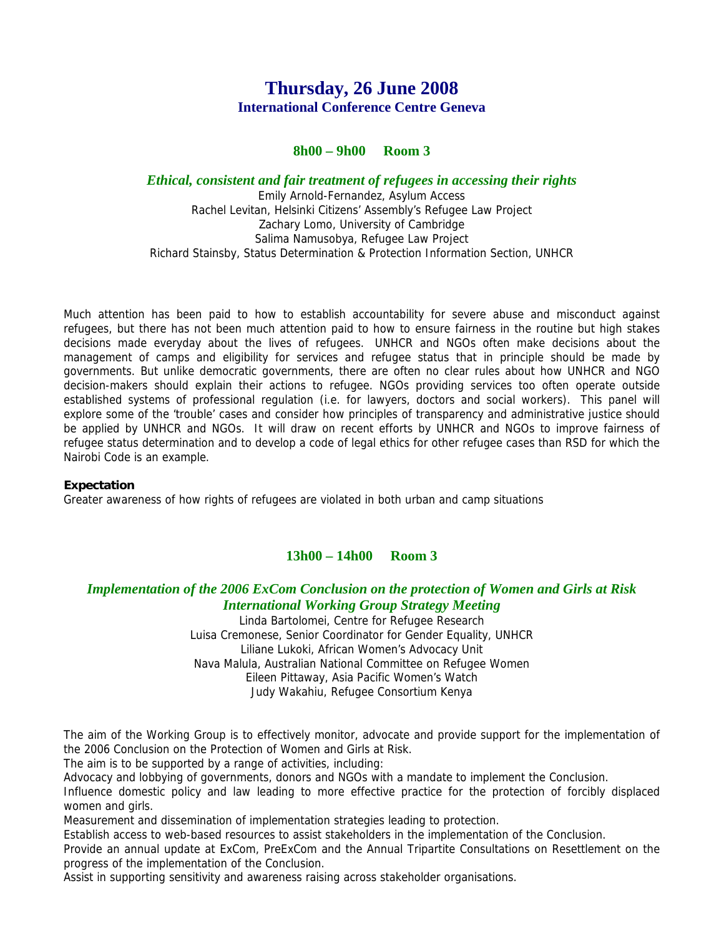# **Thursday, 26 June 2008 International Conference Centre Geneva**

## **8h00 – 9h00 Room 3**

#### *Ethical, consistent and fair treatment of refugees in accessing their rights*

Emily Arnold-Fernandez, Asylum Access Rachel Levitan, Helsinki Citizens' Assembly's Refugee Law Project Zachary Lomo, University of Cambridge Salima Namusobya, Refugee Law Project Richard Stainsby, Status Determination & Protection Information Section, UNHCR

Much attention has been paid to how to establish accountability for severe abuse and misconduct against refugees, but there has not been much attention paid to how to ensure fairness in the routine but high stakes decisions made everyday about the lives of refugees. UNHCR and NGOs often make decisions about the management of camps and eligibility for services and refugee status that in principle should be made by governments. But unlike democratic governments, there are often no clear rules about how UNHCR and NGO decision-makers should explain their actions to refugee. NGOs providing services too often operate outside established systems of professional regulation (i.e. for lawyers, doctors and social workers). This panel will explore some of the 'trouble' cases and consider how principles of transparency and administrative justice should be applied by UNHCR and NGOs. It will draw on recent efforts by UNHCR and NGOs to improve fairness of refugee status determination and to develop a code of legal ethics for other refugee cases than RSD for which the Nairobi Code is an example.

#### **Expectation**

Greater awareness of how rights of refugees are violated in both urban and camp situations

## **13h00 – 14h00 Room 3**

## *Implementation of the 2006 ExCom Conclusion on the protection of Women and Girls at Risk International Working Group Strategy Meeting*

Linda Bartolomei, Centre for Refugee Research Luisa Cremonese, Senior Coordinator for Gender Equality, UNHCR Liliane Lukoki, African Women's Advocacy Unit Nava Malula, Australian National Committee on Refugee Women Eileen Pittaway, Asia Pacific Women's Watch Judy Wakahiu, Refugee Consortium Kenya

The aim of the Working Group is to effectively monitor, advocate and provide support for the implementation of the 2006 Conclusion on the Protection of Women and Girls at Risk.

The aim is to be supported by a range of activities, including:

Advocacy and lobbying of governments, donors and NGOs with a mandate to implement the Conclusion.

Influence domestic policy and law leading to more effective practice for the protection of forcibly displaced women and girls.

Measurement and dissemination of implementation strategies leading to protection.

Establish access to web-based resources to assist stakeholders in the implementation of the Conclusion. Provide an annual update at ExCom, PreExCom and the Annual Tripartite Consultations on Resettlement on the

progress of the implementation of the Conclusion.

Assist in supporting sensitivity and awareness raising across stakeholder organisations.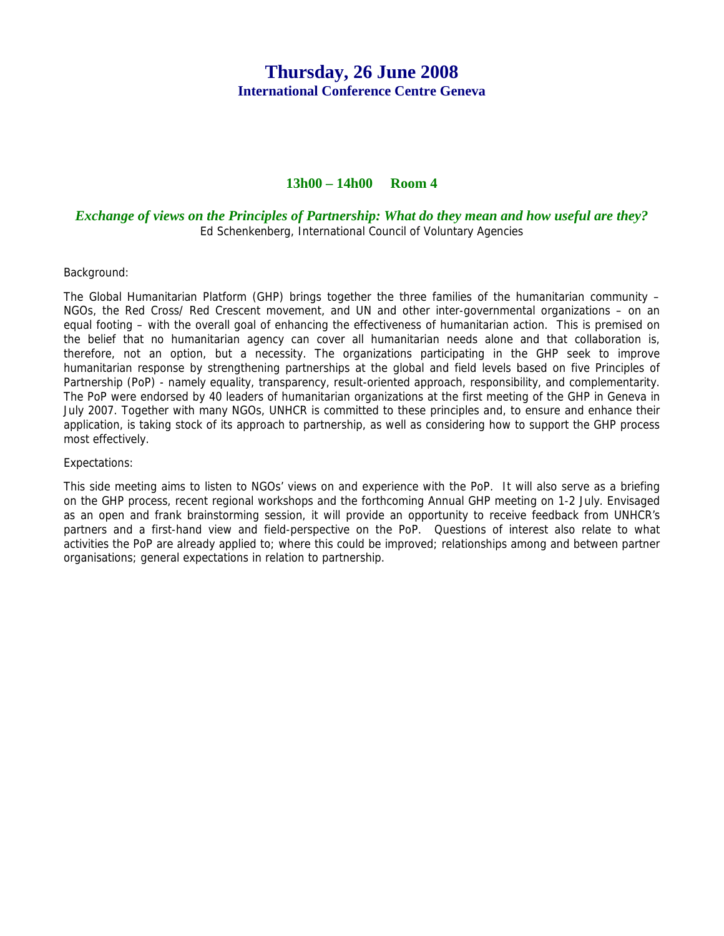# **Thursday, 26 June 2008 International Conference Centre Geneva**

## **13h00 – 14h00 Room 4**

#### *Exchange of views on the Principles of Partnership: What do they mean and how useful are they?*  Ed Schenkenberg, International Council of Voluntary Agencies

#### Background:

The Global Humanitarian Platform (GHP) brings together the three families of the humanitarian community – NGOs, the Red Cross/ Red Crescent movement, and UN and other inter-governmental organizations – on an equal footing – with the overall goal of enhancing the effectiveness of humanitarian action. This is premised on the belief that no humanitarian agency can cover all humanitarian needs alone and that collaboration is, therefore, not an option, but a necessity. The organizations participating in the GHP seek to improve humanitarian response by strengthening partnerships at the global and field levels based on five Principles of Partnership (PoP) - namely equality, transparency, result-oriented approach, responsibility, and complementarity. The PoP were endorsed by 40 leaders of humanitarian organizations at the first meeting of the GHP in Geneva in July 2007. Together with many NGOs, UNHCR is committed to these principles and, to ensure and enhance their application, is taking stock of its approach to partnership, as well as considering how to support the GHP process most effectively.

#### Expectations:

This side meeting aims to listen to NGOs' views on and experience with the PoP. It will also serve as a briefing on the GHP process, recent regional workshops and the forthcoming Annual GHP meeting on 1-2 July. Envisaged as an open and frank brainstorming session, it will provide an opportunity to receive feedback from UNHCR's partners and a first-hand view and field-perspective on the PoP. Questions of interest also relate to what activities the PoP are already applied to; where this could be improved; relationships among and between partner organisations; general expectations in relation to partnership.